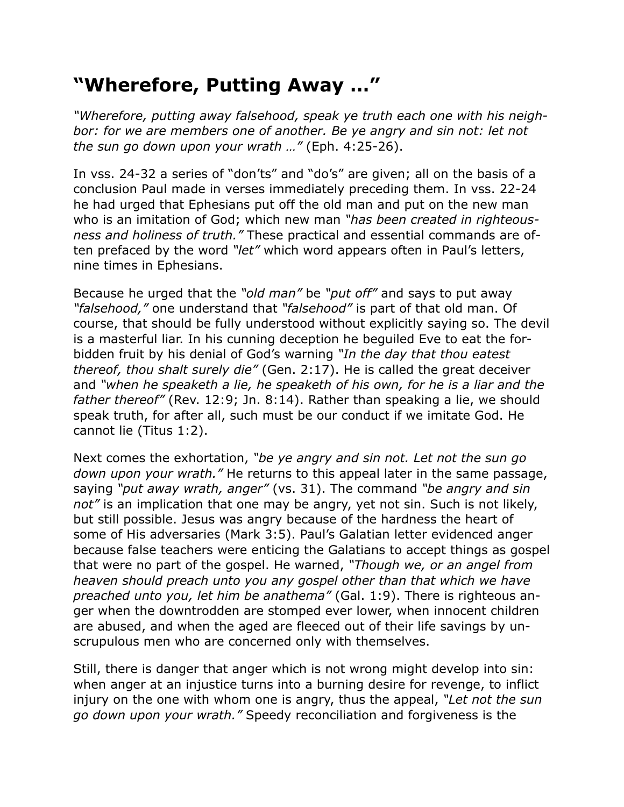## **"Wherefore, Putting Away …"**

*"Wherefore, putting away falsehood, speak ye truth each one with his neigh*bor: for we are members one of another. Be ye angry and sin not: let not *the sun go down upon your wrath …"* (Eph. 4:25-26).

In vss. 24-32 a series of "don'ts" and "do's" are given; all on the basis of a conclusion Paul made in verses immediately preceding them. In vss. 22-24 he had urged that Ephesians put off the old man and put on the new man who is an imitation of God; which new man *"has been created in righteousness and holiness of truth."* These practical and essential commands are often prefaced by the word *"let"* which word appears often in Paul's letters, nine times in Ephesians.

Because he urged that the *"old man"* be *"put off"* and says to put away *"falsehood,"* one understand that *"falsehood"* is part of that old man. Of course, that should be fully understood without explicitly saying so. The devil is a masterful liar. In his cunning deception he beguiled Eve to eat the forbidden fruit by his denial of God's warning *"In the day that thou eatest thereof, thou shalt surely die"* (Gen. 2:17). He is called the great deceiver and *"when he speaketh a lie, he speaketh of his own, for he is a liar and the father thereof"* (Rev. 12:9; Jn. 8:14). Rather than speaking a lie, we should speak truth, for after all, such must be our conduct if we imitate God. He cannot lie (Titus 1:2).

Next comes the exhortation, *"be ye angry and sin not. Let not the sun go down upon your wrath."* He returns to this appeal later in the same passage, saying *"put away wrath, anger"* (vs. 31). The command *"be angry and sin not"* is an implication that one may be angry, yet not sin. Such is not likely, but still possible. Jesus was angry because of the hardness the heart of some of His adversaries (Mark 3:5). Paul's Galatian letter evidenced anger because false teachers were enticing the Galatians to accept things as gospel that were no part of the gospel. He warned, *"Though we, or an angel from heaven should preach unto you any gospel other than that which we have preached unto you, let him be anathema"* (Gal. 1:9). There is righteous anger when the downtrodden are stomped ever lower, when innocent children are abused, and when the aged are fleeced out of their life savings by unscrupulous men who are concerned only with themselves.

Still, there is danger that anger which is not wrong might develop into sin: when anger at an injustice turns into a burning desire for revenge, to inflict injury on the one with whom one is angry, thus the appeal, *"Let not the sun go down upon your wrath."* Speedy reconciliation and forgiveness is the